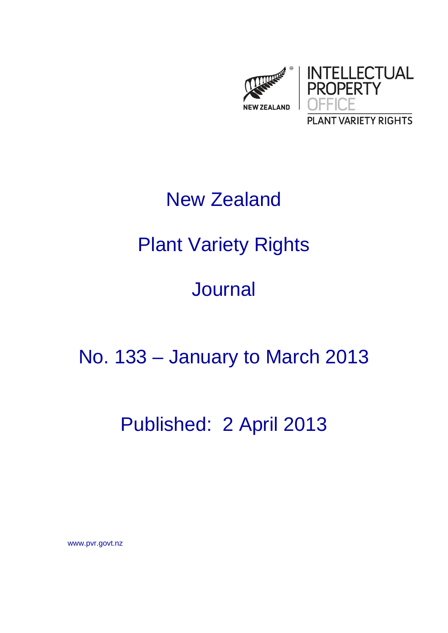

# New Zealand

# Plant Variety Rights

## Journal

### No. 133 – January to March 2013

### Published: 2 April 2013

www.pvr.govt.nz